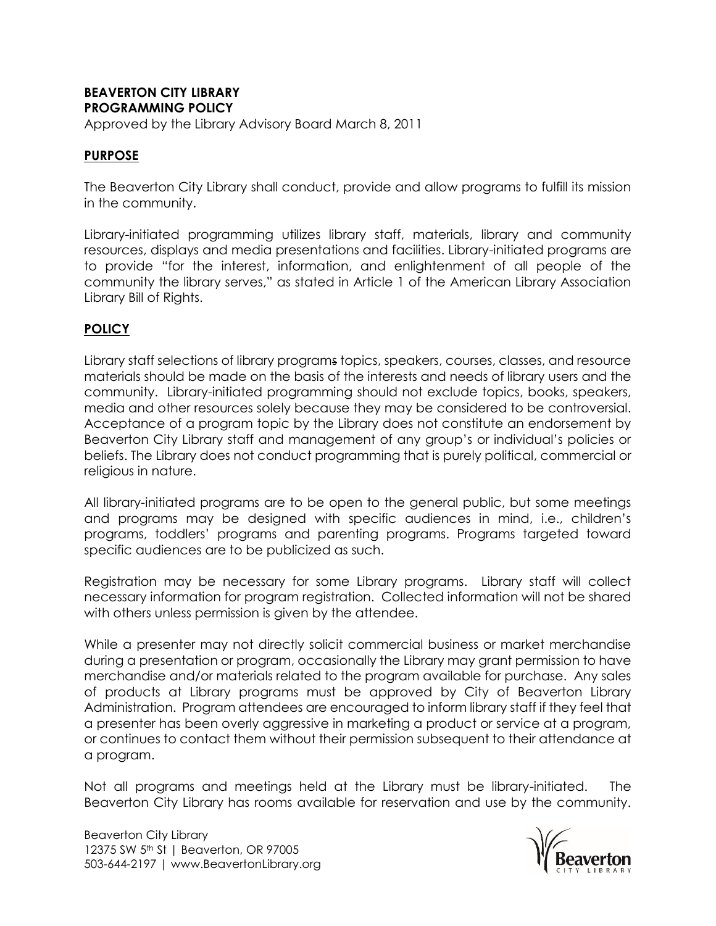## **BEAVERTON CITY LIBRARY PROGRAMMING POLICY**

Approved by the Library Advisory Board March 8, 2011

## **PURPOSE**

The Beaverton City Library shall conduct, provide and allow programs to fulfill its mission in the community.

Library-initiated programming utilizes library staff, materials, library and community resources, displays and media presentations and facilities. Library-initiated programs are to provide "for the interest, information, and enlightenment of all people of the community the library serves," as stated in Article 1 of the American Library Association Library Bill of Rights.

## **POLICY**

Library staff selections of library programs topics, speakers, courses, classes, and resource materials should be made on the basis of the interests and needs of library users and the community. Library-initiated programming should not exclude topics, books, speakers, media and other resources solely because they may be considered to be controversial. Acceptance of a program topic by the Library does not constitute an endorsement by Beaverton City Library staff and management of any group's or individual's policies or beliefs. The Library does not conduct programming that is purely political, commercial or religious in nature.

All library-initiated programs are to be open to the general public, but some meetings and programs may be designed with specific audiences in mind, i.e., children's programs, toddlers' programs and parenting programs. Programs targeted toward specific audiences are to be publicized as such.

Registration may be necessary for some Library programs. Library staff will collect necessary information for program registration. Collected information will not be shared with others unless permission is given by the attendee.

While a presenter may not directly solicit commercial business or market merchandise during a presentation or program, occasionally the Library may grant permission to have merchandise and/or materials related to the program available for purchase. Any sales of products at Library programs must be approved by City of Beaverton Library Administration. Program attendees are encouraged to inform library staff if they feel that a presenter has been overly aggressive in marketing a product or service at a program, or continues to contact them without their permission subsequent to their attendance at a program.

Not all programs and meetings held at the Library must be library-initiated. The Beaverton City Library has rooms available for reservation and use by the community.

Beaverton City Library 12375 SW 5<sup>th</sup> St | Beaverton, OR 97005 503-644-2197 | www.BeavertonLibrary.org